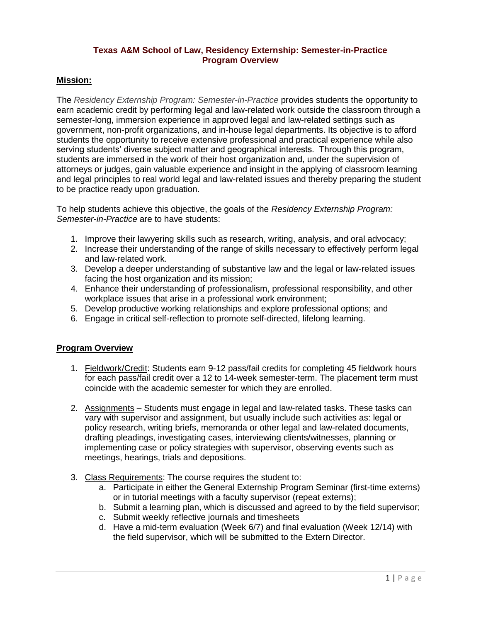### **Texas A&M School of Law, Residency Externship: Semester-in-Practice Program Overview**

## **Mission:**

The *Residency Externship Program: Semester-in-Practice* provides students the opportunity to earn academic credit by performing legal and law-related work outside the classroom through a semester-long, immersion experience in approved legal and law-related settings such as government, non-profit organizations, and in-house legal departments. Its objective is to afford students the opportunity to receive extensive professional and practical experience while also serving students' diverse subject matter and geographical interests. Through this program, students are immersed in the work of their host organization and, under the supervision of attorneys or judges, gain valuable experience and insight in the applying of classroom learning and legal principles to real world legal and law-related issues and thereby preparing the student to be practice ready upon graduation.

To help students achieve this objective, the goals of the *Residency Externship Program: Semester-in-Practice* are to have students:

- 1. Improve their lawyering skills such as research, writing, analysis, and oral advocacy;
- 2. Increase their understanding of the range of skills necessary to effectively perform legal and law-related work.
- 3. Develop a deeper understanding of substantive law and the legal or law-related issues facing the host organization and its mission;
- 4. Enhance their understanding of professionalism, professional responsibility, and other workplace issues that arise in a professional work environment;
- 5. Develop productive working relationships and explore professional options; and
- 6. Engage in critical self-reflection to promote self-directed, lifelong learning.

#### **Program Overview**

- 1. Fieldwork/Credit: Students earn 9-12 pass/fail credits for completing 45 fieldwork hours for each pass/fail credit over a 12 to 14-week semester-term. The placement term must coincide with the academic semester for which they are enrolled.
- 2. Assignments Students must engage in legal and law-related tasks. These tasks can vary with supervisor and assignment, but usually include such activities as: legal or policy research, writing briefs, memoranda or other legal and law-related documents, drafting pleadings, investigating cases, interviewing clients/witnesses, planning or implementing case or policy strategies with supervisor, observing events such as meetings, hearings, trials and depositions.
- 3. Class Requirements: The course requires the student to:
	- a. Participate in either the General Externship Program Seminar (first-time externs) or in tutorial meetings with a faculty supervisor (repeat externs);
	- b. Submit a learning plan, which is discussed and agreed to by the field supervisor;
	- c. Submit weekly reflective journals and timesheets
	- d. Have a mid-term evaluation (Week 6/7) and final evaluation (Week 12/14) with the field supervisor, which will be submitted to the Extern Director.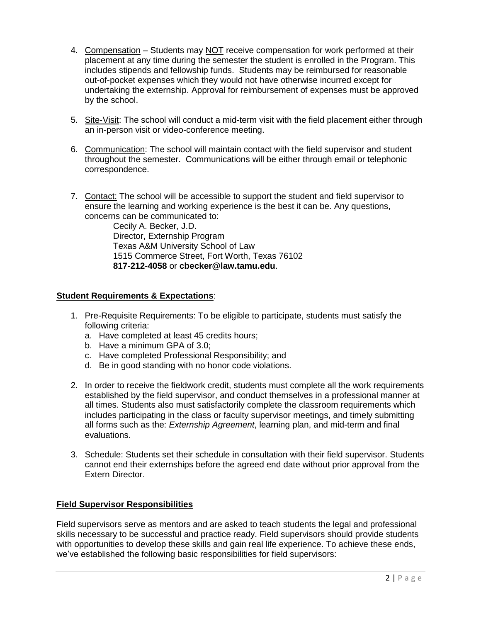- 4. Compensation Students may NOT receive compensation for work performed at their placement at any time during the semester the student is enrolled in the Program. This includes stipends and fellowship funds. Students may be reimbursed for reasonable out-of-pocket expenses which they would not have otherwise incurred except for undertaking the externship. Approval for reimbursement of expenses must be approved by the school.
- 5. Site-Visit: The school will conduct a mid-term visit with the field placement either through an in-person visit or video-conference meeting.
- 6. Communication: The school will maintain contact with the field supervisor and student throughout the semester. Communications will be either through email or telephonic correspondence.
- 7. Contact: The school will be accessible to support the student and field supervisor to ensure the learning and working experience is the best it can be. Any questions, concerns can be communicated to:

Cecily A. Becker, J.D. Director, Externship Program Texas A&M University School of Law 1515 Commerce Street, Fort Worth, Texas 76102 **817-212-4058** or **cbecker@law.tamu.edu**.

## **Student Requirements & Expectations**:

- 1. Pre-Requisite Requirements: To be eligible to participate, students must satisfy the following criteria:
	- a. Have completed at least 45 credits hours;
	- b. Have a minimum GPA of 3.0;
	- c. Have completed Professional Responsibility; and
	- d. Be in good standing with no honor code violations.
- 2. In order to receive the fieldwork credit, students must complete all the work requirements established by the field supervisor, and conduct themselves in a professional manner at all times. Students also must satisfactorily complete the classroom requirements which includes participating in the class or faculty supervisor meetings, and timely submitting all forms such as the: *Externship Agreement*, learning plan, and mid-term and final evaluations.
- 3. Schedule: Students set their schedule in consultation with their field supervisor. Students cannot end their externships before the agreed end date without prior approval from the Extern Director.

# **Field Supervisor Responsibilities**

Field supervisors serve as mentors and are asked to teach students the legal and professional skills necessary to be successful and practice ready. Field supervisors should provide students with opportunities to develop these skills and gain real life experience. To achieve these ends, we've established the following basic responsibilities for field supervisors: